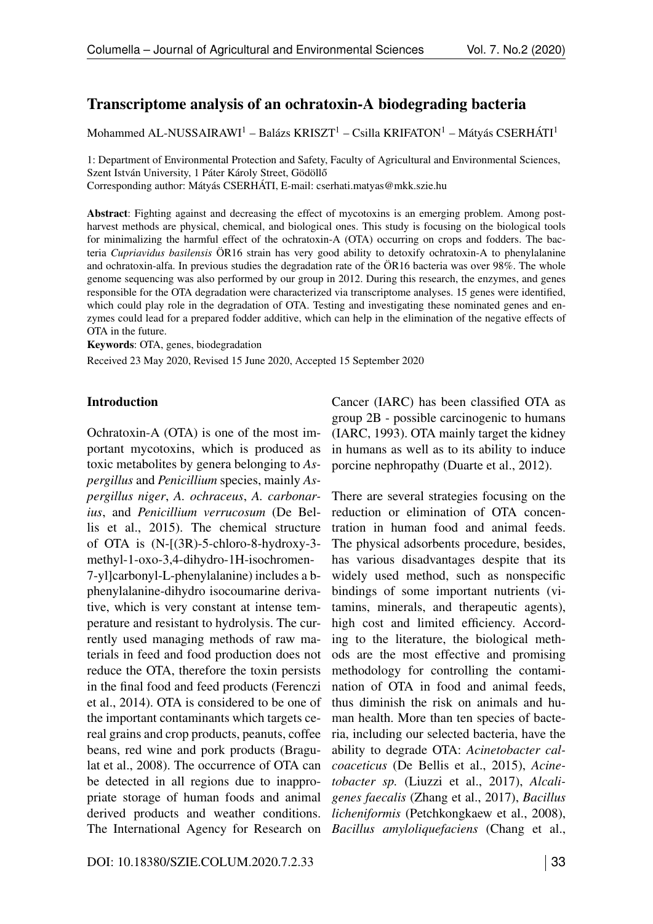# <span id="page-0-2"></span>Transcriptome analysis of an ochratoxin-A biodegrading bacteria

Mohammed AL-NUSSAIRAWI<sup>1</sup> – Balázs KRISZT<sup>1</sup> – Csilla KRIFATON<sup>1</sup> – Mátyás CSERHÁTI<sup>1</sup>

1: Department of Environmental Protection and Safety, Faculty of Agricultural and Environmental Sciences, Szent István University, 1 Páter Károly Street, Gödöllő Corresponding author: Mátyás CSERHÁTI, E-mail:<cserhati.matyas@mkk.szie.hu>

Abstract: Fighting against and decreasing the effect of mycotoxins is an emerging problem. Among postharvest methods are physical, chemical, and biological ones. This study is focusing on the biological tools for minimalizing the harmful effect of the ochratoxin-A (OTA) occurring on crops and fodders. The bacteria *Cupriavidus basilensis* ÖR16 strain has very good ability to detoxify ochratoxin-A to phenylalanine and ochratoxin-alfa. In previous studies the degradation rate of the ÖR16 bacteria was over 98%. The whole genome sequencing was also performed by our group in 2012. During this research, the enzymes, and genes responsible for the OTA degradation were characterized via transcriptome analyses. 15 genes were identified, which could play role in the degradation of OTA. Testing and investigating these nominated genes and enzymes could lead for a prepared fodder additive, which can help in the elimination of the negative effects of OTA in the future.

<span id="page-0-0"></span>Keywords: OTA, genes, biodegradation

<span id="page-0-3"></span>Received 23 May 2020, Revised 15 June 2020, Accepted 15 September 2020

#### Introduction

<span id="page-0-1"></span>Ochratoxin-A (OTA) is one of the most important mycotoxins, which is produced as toxic metabolites by genera belonging to *Aspergillus* and *Penicillium* species, mainly *Aspergillus niger*, *A. ochraceus*, *A. carbonarius*, and *Penicillium verrucosum* (De Bellis et al., 2015). The chemical structure of OTA is (N-[(3R)-5-chloro-8-hydroxy-3 methyl-1-oxo-3,4-dihydro-1H-isochromen-7-yl]carbonyl-L-phenylalanine) includes a bphenylalanine-dihydro isocoumarine derivative, which is very constant at intense temperature and resistant to hydrolysis. The currently used managing methods of raw materials in feed and food production does not reduce the OTA, therefore the toxin persists in the final food and feed products (Ferenczi et al., 2014). OTA is considered to be one of the important contaminants which targets cereal grains and crop products, peanuts, coffee beans, red wine and pork products (Bragulat et al., 2008). The occurrence of OTA can be detected in all regions due to inappropriate storage of human foods and animal derived products and weather conditions. The International Agency for Research on Cancer (IARC) has been classified OTA as group 2B - possible carcinogenic to humans (IARC, 1993). OTA mainly target the kidney in humans as well as to its ability to induce porcine nephropathy (Duarte et al., 2012).

There are several strategies focusing on the reduction or elimination of OTA concentration in human food and animal feeds. The physical adsorbents procedure, besides, has various disadvantages despite that its widely used method, such as nonspecific bindings of some important nutrients (vitamins, minerals, and therapeutic agents), high cost and limited efficiency. According to the literature, the biological methods are the most effective and promising methodology for controlling the contamination of OTA in food and animal feeds, thus diminish the risk on animals and human health. More than ten species of bacteria, including our selected bacteria, have the ability to degrade OTA: *Acinetobacter calcoaceticus* (De Bellis et al., 2015), *Acinetobacter sp.* (Liuzzi et al., 2017), *Alcaligenes faecalis* (Zhang et al., 2017), *Bacillus licheniformis* (Petchkongkaew et al., 2008), *Bacillus amyloliquefaciens* (Chang et al.,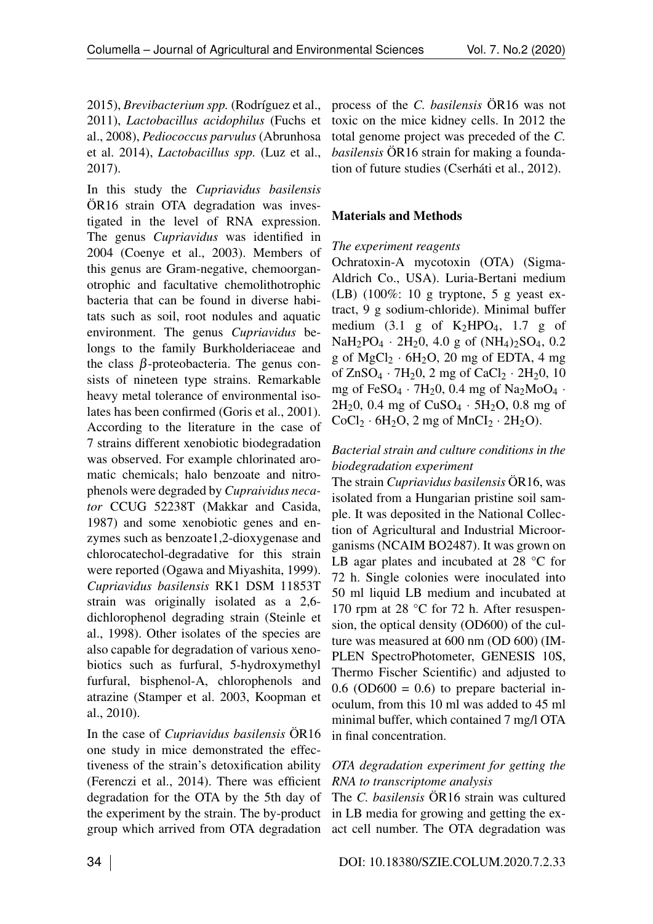2015), *Brevibacterium spp.* (Rodríguez et al., 2011), *Lactobacillus acidophilus* (Fuchs et al., 2008), *Pediococcus parvulus* (Abrunhosa et al. 2014), *Lactobacillus spp.* (Luz et al., 2017).

In this study the *Cupriavidus basilensis* ÖR16 strain OTA degradation was investigated in the level of RNA expression. The genus *Cupriavidus* was identified in 2004 (Coenye et al., 2003). Members of this genus are Gram-negative, chemoorganotrophic and facultative chemolithotrophic bacteria that can be found in diverse habitats such as soil, root nodules and aquatic environment. The genus *Cupriavidus* belongs to the family Burkholderiaceae and the class  $\beta$ -proteobacteria. The genus consists of nineteen type strains. Remarkable heavy metal tolerance of environmental isolates has been confirmed (Goris et al., 2001). According to the literature in the case of 7 strains different xenobiotic biodegradation was observed. For example chlorinated aromatic chemicals; halo benzoate and nitrophenols were degraded by *Cupraividus necator* CCUG 52238T (Makkar and Casida, 1987) and some xenobiotic genes and enzymes such as benzoate1,2-dioxygenase and chlorocatechol-degradative for this strain were reported (Ogawa and Miyashita, 1999). *Cupriavidus basilensis* RK1 DSM 11853T strain was originally isolated as a 2,6 dichlorophenol degrading strain (Steinle et al., 1998). Other isolates of the species are also capable for degradation of various xenobiotics such as furfural, 5-hydroxymethyl furfural, bisphenol-A, chlorophenols and atrazine (Stamper et al. 2003, Koopman et al., 2010).

In the case of *Cupriavidus basilensis* ÖR16 one study in mice demonstrated the effectiveness of the strain's detoxification ability (Ferenczi et al., 2014). There was efficient degradation for the OTA by the 5th day of the experiment by the strain. The by-product group which arrived from OTA degradation process of the *C. basilensis* ÖR16 was not toxic on the mice kidney cells. In 2012 the total genome project was preceded of the *C. basilensis* ÖR16 strain for making a foundation of future studies (Cserháti et al., 2012).

### Materials and Methods

### *The experiment reagents*

Ochratoxin-A mycotoxin (OTA) (Sigma-Aldrich Co., USA). Luria-Bertani medium (LB) (100%: 10 g tryptone, 5 g yeast extract, 9 g sodium-chloride). Minimal buffer medium  $(3.1 \text{ g of } K_2HPO_4, 1.7 \text{ g of }$  $NaH_2PO_4 \cdot 2H_2O$ , 4.0 g of  $(NH_4)_2SO_4$ , 0.2 g of  $MgCl_2 \cdot 6H_2O$ , 20 mg of EDTA, 4 mg of  $ZnSO_4 \cdot 7H_2O$ , 2 mg of  $CaCl_2 \cdot 2H_2O$ , 10 mg of FeSO4 *·* 7H20, 0.4 mg of Na2MoO4 *·*  $2H_2$ 0, 0.4 mg of  $CuSO_4 \cdot 5H_2$ O, 0.8 mg of  $CoCl<sub>2</sub> · 6H<sub>2</sub>O, 2 mg of MnCl<sub>2</sub> · 2H<sub>2</sub>O.$ 

### *Bacterial strain and culture conditions in the biodegradation experiment*

The strain *Cupriavidus basilensis* ÖR16, was isolated from a Hungarian pristine soil sample. It was deposited in the National Collection of Agricultural and Industrial Microorganisms (NCAIM BO2487). It was grown on LB agar plates and incubated at 28 °C for 72 h. Single colonies were inoculated into 50 ml liquid LB medium and incubated at 170 rpm at 28 °C for 72 h. After resuspension, the optical density (OD600) of the culture was measured at 600 nm (OD 600) (IM-PLEN SpectroPhotometer, GENESIS 10S, Thermo Fischer Scientific) and adjusted to  $0.6$  (OD600 = 0.6) to prepare bacterial inoculum, from this 10 ml was added to 45 ml minimal buffer, which contained 7 mg/l OTA in final concentration.

#### *OTA degradation experiment for getting the RNA to transcriptome analysis*

The *C. basilensis* ÖR16 strain was cultured in LB media for growing and getting the exact cell number. The OTA degradation was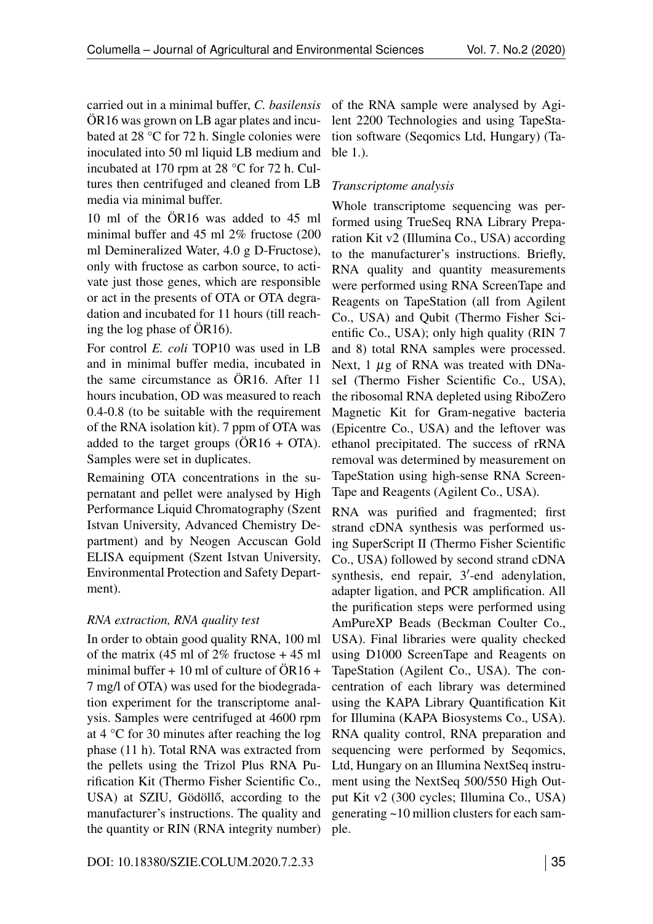carried out in a minimal buffer, *C. basilensis* ÖR16 was grown on LB agar plates and incubated at 28 °C for 72 h. Single colonies were inoculated into 50 ml liquid LB medium and incubated at 170 rpm at 28 °C for 72 h. Cultures then centrifuged and cleaned from LB media via minimal buffer.

10 ml of the ÖR16 was added to 45 ml minimal buffer and 45 ml 2% fructose (200 ml Demineralized Water, 4.0 g D-Fructose), only with fructose as carbon source, to activate just those genes, which are responsible or act in the presents of OTA or OTA degradation and incubated for 11 hours (till reaching the log phase of ÖR16).

For control *E. coli* TOP10 was used in LB and in minimal buffer media, incubated in the same circumstance as ÖR16. After 11 hours incubation, OD was measured to reach 0.4-0.8 (to be suitable with the requirement of the RNA isolation kit). 7 ppm of OTA was added to the target groups  $(OR16 + OTA)$ . Samples were set in duplicates.

Remaining OTA concentrations in the supernatant and pellet were analysed by High Performance Liquid Chromatography (Szent Istvan University, Advanced Chemistry Department) and by Neogen Accuscan Gold ELISA equipment (Szent Istvan University, Environmental Protection and Safety Department).

# *RNA extraction, RNA quality test*

In order to obtain good quality RNA, 100 ml of the matrix (45 ml of  $2\%$  fructose + 45 ml minimal buffer  $+10$  ml of culture of  $\ddot{O}R16 +$ 7 mg/l of OTA) was used for the biodegradation experiment for the transcriptome analysis. Samples were centrifuged at 4600 rpm at 4 °C for 30 minutes after reaching the log phase (11 h). Total RNA was extracted from the pellets using the Trizol Plus RNA Purification Kit (Thermo Fisher Scientific Co., USA) at SZIU, Gödöllő, according to the manufacturer's instructions. The quality and the quantity or RIN (RNA integrity number)

of the RNA sample were analysed by Agilent 2200 Technologies and using TapeStation software (Seqomics Ltd, Hungary) (Table 1.).

# *Transcriptome analysis*

Whole transcriptome sequencing was performed using TrueSeq RNA Library Preparation Kit v2 (Illumina Co., USA) according to the manufacturer's instructions. Briefly, RNA quality and quantity measurements were performed using RNA ScreenTape and Reagents on TapeStation (all from Agilent Co., USA) and Qubit (Thermo Fisher Scientific Co., USA); only high quality (RIN 7 and 8) total RNA samples were processed. Next, 1 *μg* of RNA was treated with DNaseI (Thermo Fisher Scientific Co., USA), the ribosomal RNA depleted using RiboZero Magnetic Kit for Gram-negative bacteria (Epicentre Co., USA) and the leftover was ethanol precipitated. The success of rRNA removal was determined by measurement on TapeStation using high-sense RNA Screen-Tape and Reagents (Agilent Co., USA).

RNA was purified and fragmented; first strand cDNA synthesis was performed using SuperScript II (Thermo Fisher Scientific Co., USA) followed by second strand cDNA synthesis, end repair,  $3'$ -end adenylation, adapter ligation, and PCR amplification. All the purification steps were performed using AmPureXP Beads (Beckman Coulter Co., USA). Final libraries were quality checked using D1000 ScreenTape and Reagents on TapeStation (Agilent Co., USA). The concentration of each library was determined using the KAPA Library Quantification Kit for Illumina (KAPA Biosystems Co., USA). RNA quality control, RNA preparation and sequencing were performed by Seqomics, Ltd, Hungary on an Illumina NextSeq instrument using the NextSeq 500/550 High Output Kit v2 (300 cycles; Illumina Co., USA) generating ~10 million clusters for each sample.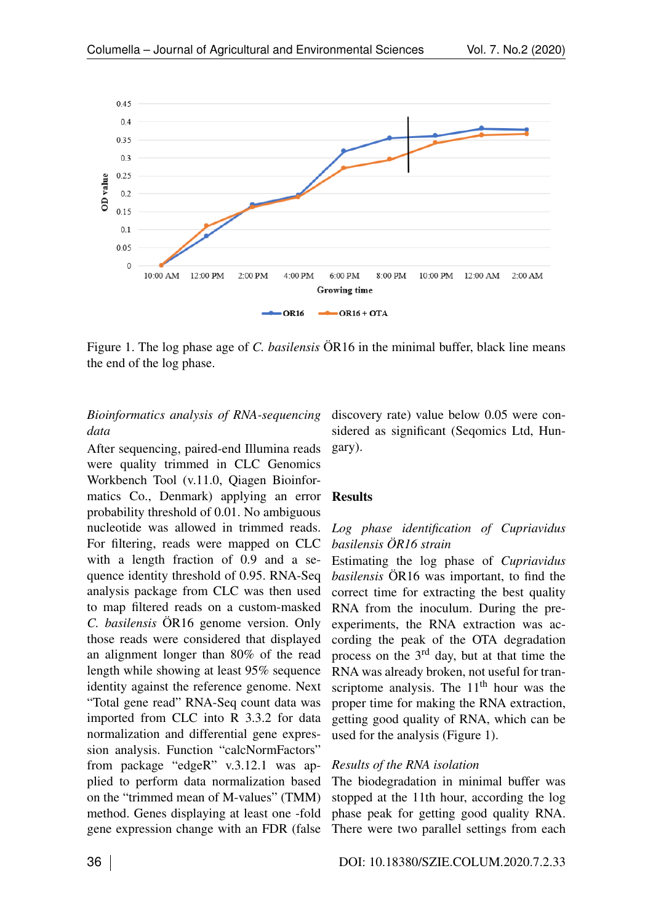

Figure 1. The log phase age of *C. basilensis* ÖR16 in the minimal buffer, black line means the end of the log phase.

## *Bioinformatics analysis of RNA-sequencing data*

After sequencing, paired-end Illumina reads were quality trimmed in CLC Genomics Workbench Tool (v.11.0, Qiagen Bioinformatics Co., Denmark) applying an error probability threshold of 0.01. No ambiguous nucleotide was allowed in trimmed reads. For filtering, reads were mapped on CLC with a length fraction of 0.9 and a sequence identity threshold of 0.95. RNA-Seq analysis package from CLC was then used to map filtered reads on a custom-masked *C. basilensis* ÖR16 genome version. Only those reads were considered that displayed an alignment longer than 80% of the read length while showing at least 95% sequence identity against the reference genome. Next "Total gene read" RNA-Seq count data was imported from CLC into R 3.3.2 for data normalization and differential gene expression analysis. Function "calcNormFactors" from package "edgeR" v.3.12.1 was applied to perform data normalization based on the "trimmed mean of M-values" (TMM) method. Genes displaying at least one -fold gene expression change with an FDR (false

discovery rate) value below 0.05 were considered as significant (Seqomics Ltd, Hungary).

#### Results

# *Log phase identification of Cupriavidus basilensis ÖR16 strain*

Estimating the log phase of *Cupriavidus basilensis* ÖR16 was important, to find the correct time for extracting the best quality RNA from the inoculum. During the preexperiments, the RNA extraction was according the peak of the OTA degradation process on the 3rd day, but at that time the RNA was already broken, not useful for transcriptome analysis. The  $11<sup>th</sup>$  hour was the proper time for making the RNA extraction, getting good quality of RNA, which can be used for the analysis (Figure [1\)](#page-0-0).

### *Results of the RNA isolation*

The biodegradation in minimal buffer was stopped at the 11th hour, according the log phase peak for getting good quality RNA. There were two parallel settings from each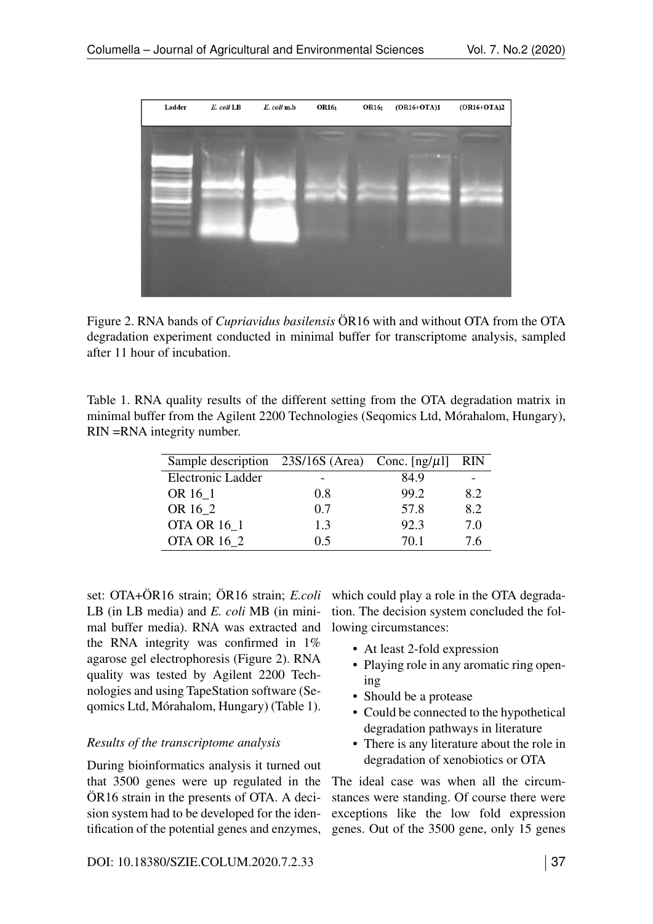

Figure 2. RNA bands of *Cupriavidus basilensis* ÖR16 with and without OTA from the OTA degradation experiment conducted in minimal buffer for transcriptome analysis, sampled after 11 hour of incubation.

Table 1. RNA quality results of the different setting from the OTA degradation matrix in minimal buffer from the Agilent 2200 Technologies (Seqomics Ltd, Mórahalom, Hungary), RIN =RNA integrity number.

| Sample description $23S/16S$ (Area) Conc. [ng/ $\mu$ l] |     |      | <b>RIN</b> |
|---------------------------------------------------------|-----|------|------------|
| Electronic Ladder                                       |     | 84.9 |            |
| OR 16 1                                                 | 0.8 | 99.2 | 8.2        |
| OR 16 2                                                 | 0.7 | 57.8 | 8.2        |
| <b>OTA OR 16 1</b>                                      | 1.3 | 92.3 | 7.0        |
| <b>OTA OR 16 2</b>                                      | 0.5 | 70.1 | 7.6        |

set: OTA+ÖR16 strain; ÖR16 strain; *E.coli* LB (in LB media) and *E. coli* MB (in minimal buffer media). RNA was extracted and the RNA integrity was confirmed in 1% agarose gel electrophoresis (Figure [2\)](#page-0-1). RNA quality was tested by Agilent 2200 Technologies and using TapeStation software (Seqomics Ltd, Mórahalom, Hungary) (Table [1\)](#page-0-2).

### *Results of the transcriptome analysis*

During bioinformatics analysis it turned out that 3500 genes were up regulated in the ÖR16 strain in the presents of OTA. A decision system had to be developed for the identification of the potential genes and enzymes,

which could play a role in the OTA degradation. The decision system concluded the following circumstances:

- At least 2-fold expression
- Playing role in any aromatic ring opening
- Should be a protease
- Could be connected to the hypothetical degradation pathways in literature
- There is any literature about the role in degradation of xenobiotics or OTA

The ideal case was when all the circumstances were standing. Of course there were exceptions like the low fold expression genes. Out of the 3500 gene, only 15 genes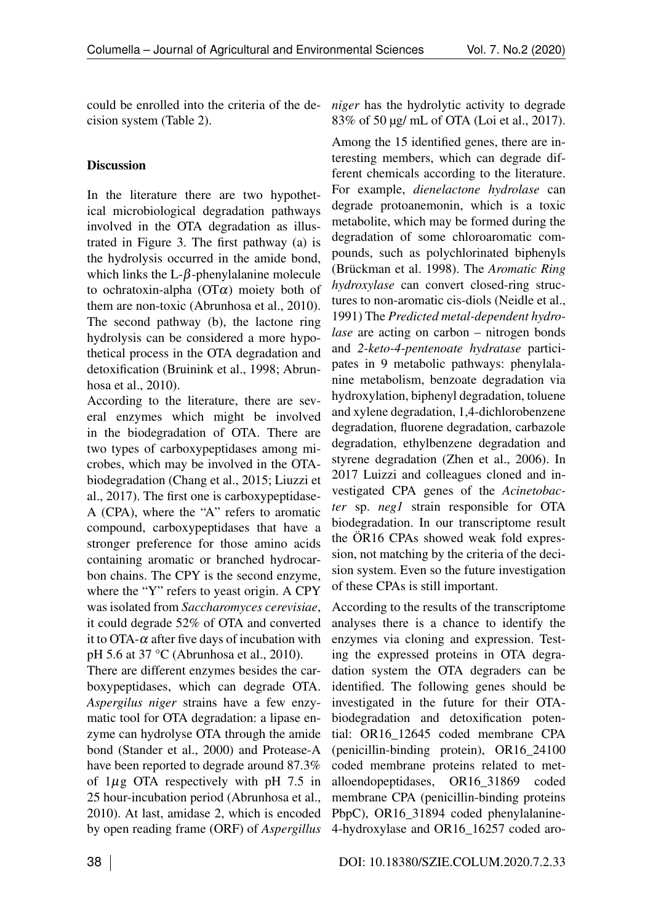could be enrolled into the criteria of the decision system (Table [2\)](#page-0-2).

# Discussion

In the literature there are two hypothetical microbiological degradation pathways involved in the OTA degradation as illustrated in Figure [3.](#page-0-3) The first pathway (a) is the hydrolysis occurred in the amide bond, which links the  $L-\beta$ -phenylalanine molecule to ochratoxin-alpha ( $\overline{OT}\alpha$ ) moiety both of them are non-toxic (Abrunhosa et al., 2010). The second pathway (b), the lactone ring hydrolysis can be considered a more hypothetical process in the OTA degradation and detoxification (Bruinink et al., 1998; Abrunhosa et al., 2010).

According to the literature, there are several enzymes which might be involved in the biodegradation of OTA. There are two types of carboxypeptidases among microbes, which may be involved in the OTAbiodegradation (Chang et al., 2015; Liuzzi et al., 2017). The first one is carboxypeptidase-A (CPA), where the "A" refers to aromatic compound, carboxypeptidases that have a stronger preference for those amino acids containing aromatic or branched hydrocarbon chains. The CPY is the second enzyme, where the "Y" refers to yeast origin. A CPY was isolated from *Saccharomyces cerevisiae*, it could degrade 52% of OTA and converted it to OTA- $\alpha$  after five days of incubation with pH 5.6 at 37 °C (Abrunhosa et al., 2010).

There are different enzymes besides the carboxypeptidases, which can degrade OTA. *Aspergilus niger* strains have a few enzymatic tool for OTA degradation: a lipase enzyme can hydrolyse OTA through the amide bond (Stander et al., 2000) and Protease-A have been reported to degrade around 87.3% of 1*µ*g OTA respectively with pH 7.5 in 25 hour-incubation period (Abrunhosa et al., 2010). At last, amidase 2, which is encoded by open reading frame (ORF) of *Aspergillus*

*niger* has the hydrolytic activity to degrade 83% of 50 µg/ mL of OTA (Loi et al., 2017).

Among the 15 identified genes, there are interesting members, which can degrade different chemicals according to the literature. For example, *dienelactone hydrolase* can degrade protoanemonin, which is a toxic metabolite, which may be formed during the degradation of some chloroaromatic compounds, such as polychlorinated biphenyls (Brückman et al. 1998). The *Aromatic Ring hydroxylase* can convert closed-ring structures to non-aromatic cis-diols (Neidle et al., 1991) The *Predicted metal-dependent hydrolase* are acting on carbon – nitrogen bonds and *2-keto-4-pentenoate hydratase* participates in 9 metabolic pathways: phenylalanine metabolism, benzoate degradation via hydroxylation, biphenyl degradation, toluene and xylene degradation, 1,4-dichlorobenzene degradation, fluorene degradation, carbazole degradation, ethylbenzene degradation and styrene degradation (Zhen et al., 2006). In 2017 Luizzi and colleagues cloned and investigated CPA genes of the *Acinetobacter* sp. *neg1* strain responsible for OTA biodegradation. In our transcriptome result the ÖR16 CPAs showed weak fold expression, not matching by the criteria of the decision system. Even so the future investigation of these CPAs is still important.

According to the results of the transcriptome analyses there is a chance to identify the enzymes via cloning and expression. Testing the expressed proteins in OTA degradation system the OTA degraders can be identified. The following genes should be investigated in the future for their OTAbiodegradation and detoxification potential: OR16\_12645 coded membrane CPA (penicillin-binding protein), OR16\_24100 coded membrane proteins related to metalloendopeptidases, OR16\_31869 coded membrane CPA (penicillin-binding proteins PbpC), OR16\_31894 coded phenylalanine-4-hydroxylase and OR16\_16257 coded aro-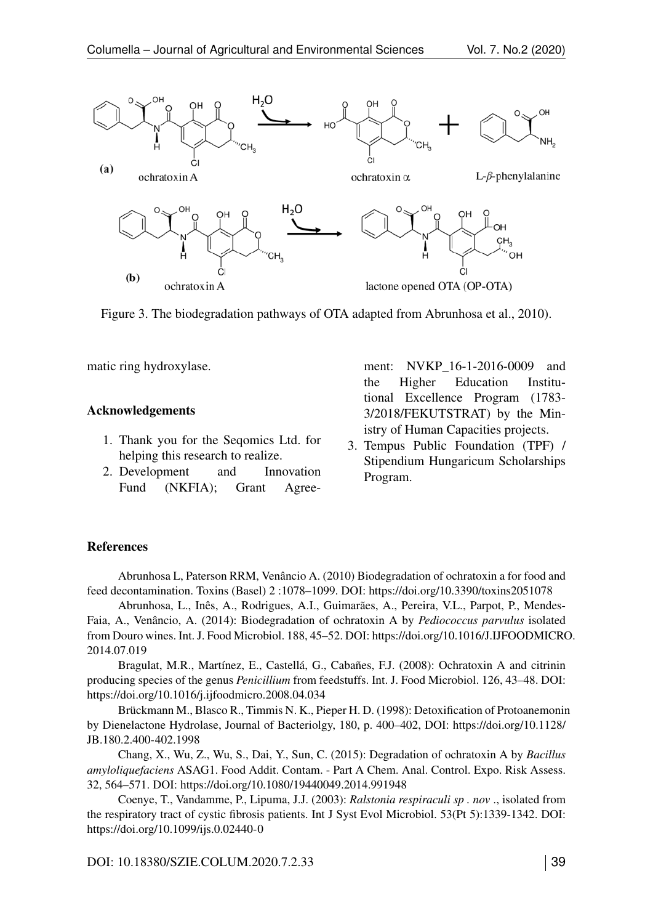

Figure 3. The biodegradation pathways of OTA adapted from Abrunhosa et al., 2010).

matic ring hydroxylase.

#### Acknowledgements

- 1. Thank you for the Seqomics Ltd. for helping this research to realize.
- 2. Development and Innovation Fund (NKFIA); Grant Agree-

ment: NVKP 16-1-2016-0009 and the Higher Education Institutional Excellence Program (1783- 3/2018/FEKUTSTRAT) by the Ministry of Human Capacities projects.

3. Tempus Public Foundation (TPF) / Stipendium Hungaricum Scholarships Program.

### References

Abrunhosa L, Paterson RRM, Venâncio A. (2010) Biodegradation of ochratoxin a for food and feed decontamination. Toxins (Basel) 2 :1078–1099. DOI:<https://doi.org/10.3390/toxins2051078>

Abrunhosa, L., Inês, A., Rodrigues, A.I., Guimarães, A., Pereira, V.L., Parpot, P., Mendes-Faia, A., Venâncio, A. (2014): Biodegradation of ochratoxin A by *Pediococcus parvulus* isolated from Douro wines. Int. J. Food Microbiol. 188, 45–52. DOI: [https://doi.org/10.1016/J.IJFOODMICRO](https://doi.org/10.1016/J.IJFOODMICRO.2014.07.019). [2014.07.019](https://doi.org/10.1016/J.IJFOODMICRO.2014.07.019)

Bragulat, M.R., Martínez, E., Castellá, G., Cabañes, F.J. (2008): Ochratoxin A and citrinin producing species of the genus *Penicillium* from feedstuffs. Int. J. Food Microbiol. 126, 43–48. DOI: <https://doi.org/10.1016/j.ijfoodmicro.2008.04.034>

Brückmann M., Blasco R., Timmis N. K., Pieper H. D. (1998): Detoxification of Protoanemonin by Dienelactone Hydrolase, Journal of Bacteriolgy, 180, p. 400–402, DOI: [https://doi.org/10.1128/](https://doi.org/10.1128/JB.180.2.400-402.1998) [JB.180.2.400-402.1998](https://doi.org/10.1128/JB.180.2.400-402.1998)

Chang, X., Wu, Z., Wu, S., Dai, Y., Sun, C. (2015): Degradation of ochratoxin A by *Bacillus amyloliquefaciens* ASAG1. Food Addit. Contam. - Part A Chem. Anal. Control. Expo. Risk Assess. 32, 564–571. DOI:<https://doi.org/10.1080/19440049.2014.991948>

Coenye, T., Vandamme, P., Lipuma, J.J. (2003): *Ralstonia respiraculi sp . nov* ., isolated from the respiratory tract of cystic fibrosis patients. Int J Syst Evol Microbiol. 53(Pt 5):1339-1342. DOI: <https://doi.org/10.1099/ijs.0.02440-0>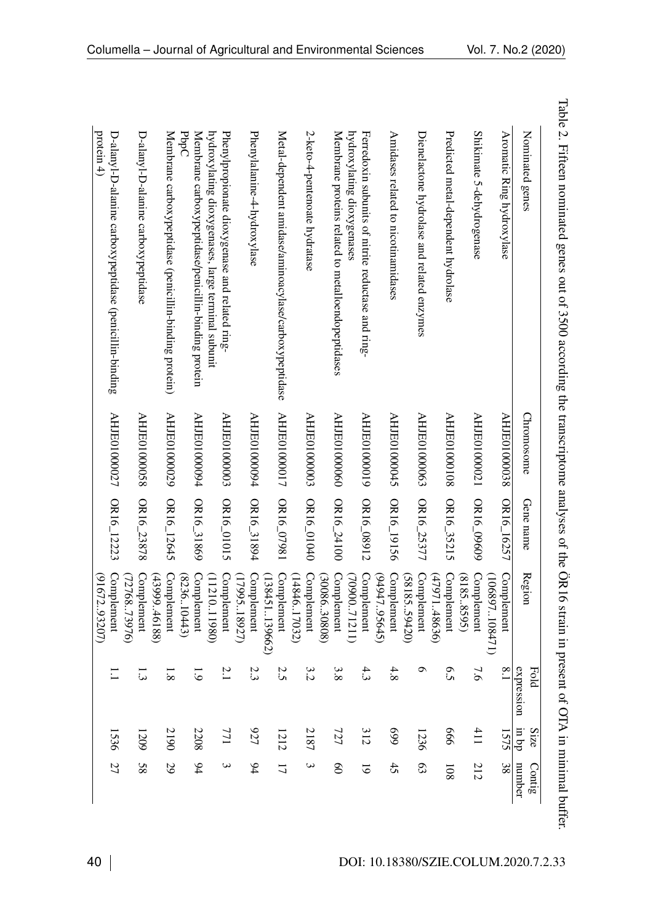| Nominated genes                                                                                      | Chromosome   | Gene name  | Region                            | expression<br>Fold | dq un<br>Size | number<br>Contig   |
|------------------------------------------------------------------------------------------------------|--------------|------------|-----------------------------------|--------------------|---------------|--------------------|
| Aromatic Ring hydroxylase                                                                            | AHJE01000038 | OR16_16257 | Complement<br>(106897.108471)     | $\overline{1.8}$   | 1575          | 38                 |
| Shikimate 5-dehydrogenase                                                                            | AHJE01000021 | OR16_09609 | Complement<br>(8183<br>5.8595     | 7.6                | 411           | 212                |
| Predicted metal-dependent hydrolase                                                                  | AHJE01000108 | OR16_35215 | Complement<br>(479)<br>11.48636   | 6.5                | 999           | $\frac{108}{10}$   |
| Dienelactone hydrolase and related enzymes                                                           | AHJE01000063 | OR16_25377 | Complement<br>(58185, 59420)      | o                  | 1236          | 63                 |
| Amidases related to nicotinamidases                                                                  | AHJE01000045 | OR16_19156 | Complement<br>(94947.95645)       | 4.8                | 669           | 45                 |
| hydroxylating dioxygenases<br>Ferredoxin subunits of nitrite reductase and ring-                     | 61000010HY   | OR16_08912 | Complement<br>(7090071211)        | 4.3                | 312           | $\overline{6}$     |
| Membrane proteins related to metalloendopeptidases                                                   | AHJE01000060 | OR16_24100 | Complement<br>(3008630808)        | 3.8                | 727           | $\overline{6}$     |
| 2-keto-4-pentenoate hydratase                                                                        | AHJE01000003 | 0R16_01040 | Complement<br>(14846.17032)       | 3.2                | 2187          | $\mathbf{\hat{z}}$ |
| Metal-dependent amidase/aminoacylase/carboxypeptidase                                                | AHJE01000017 | OR16_07981 | (138451139662)<br>Complement      | 2.5                | 1212          | $\overline{1}$     |
| Phenylalanine-4-hydroxylase                                                                          | AHJE01000094 | DR16_31894 | Complement<br>(1799518927)        | 2.3                | 727           | 64                 |
| hydroxylating dioxygenases, large terminal subunit<br>Phenylpropionate dioxygenase and related ring- | AHJE01000003 | OR16_01015 | Complement<br>(1121)<br>(0.11980) | 2.1                | 771           | $\bm{\omega}$      |
| PopC<br>Membrane carboxypeptidase/penicillin-binding protein                                         | AHJE01000094 | OR16_31869 | Complement<br>(8236.10443)        | <u>ت</u>           | 2208          | 64                 |
| Membrane carboxypeptidase (penicillin-binding protein)                                               | AHJE01000029 | OR16_12645 | Complement<br>(43999.46188)       | $\frac{8}{8}$      | 2190          | 29                 |
| D-alanyl-D-alanine carboxypeptidase                                                                  | AHJE01000058 | OR16_23878 | Complement<br>(7276873976)        | $\Xi$              | 607           | 8 <sub>8</sub>     |
| protein $4)$<br>D-alanyl-D-alanine carboxypeptidase (penicillin-binding                              | AHJE01000027 | OR16_12223 | Complement<br>(91672.93207)       |                    | 1536          | 27                 |

Table 2. Fifteen nominated genes out of 3500 according the transcriptome analyses of the ÖR16 strain in present of OTA inminimal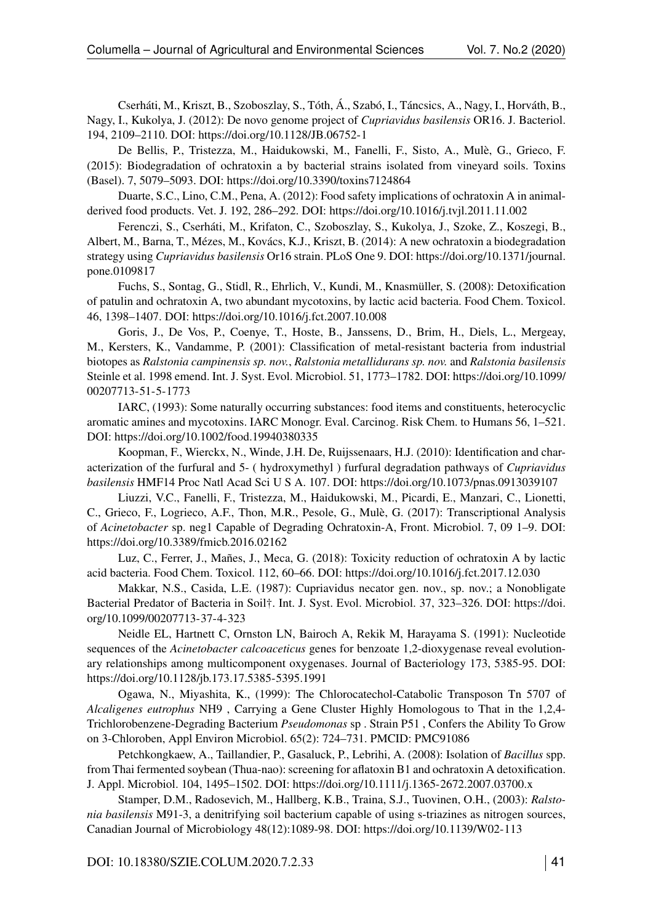Cserháti, M., Kriszt, B., Szoboszlay, S., Tóth, Á., Szabó, I., Táncsics, A., Nagy, I., Horváth, B., Nagy, I., Kukolya, J. (2012): De novo genome project of *Cupriavidus basilensis* OR16. J. Bacteriol. 194, 2109–2110. DOI:<https://doi.org/10.1128/JB.06752-1>

De Bellis, P., Tristezza, M., Haidukowski, M., Fanelli, F., Sisto, A., Mulè, G., Grieco, F. (2015): Biodegradation of ochratoxin a by bacterial strains isolated from vineyard soils. Toxins (Basel). 7, 5079–5093. DOI:<https://doi.org/10.3390/toxins7124864>

Duarte, S.C., Lino, C.M., Pena, A. (2012): Food safety implications of ochratoxin A in animalderived food products. Vet. J. 192, 286–292. DOI:<https://doi.org/10.1016/j.tvjl.2011.11.002>

Ferenczi, S., Cserháti, M., Krifaton, C., Szoboszlay, S., Kukolya, J., Szoke, Z., Koszegi, B., Albert, M., Barna, T., Mézes, M., Kovács, K.J., Kriszt, B. (2014): A new ochratoxin a biodegradation strategy using *Cupriavidus basilensis* Or16 strain. PLoS One 9. DOI: [https://doi.org/10.1371/journal.](https://doi.org/10.1371/journal.pone.0109817) [pone.0109817](https://doi.org/10.1371/journal.pone.0109817)

Fuchs, S., Sontag, G., Stidl, R., Ehrlich, V., Kundi, M., Knasmüller, S. (2008): Detoxification of patulin and ochratoxin A, two abundant mycotoxins, by lactic acid bacteria. Food Chem. Toxicol. 46, 1398–1407. DOI:<https://doi.org/10.1016/j.fct.2007.10.008>

Goris, J., De Vos, P., Coenye, T., Hoste, B., Janssens, D., Brim, H., Diels, L., Mergeay, M., Kersters, K., Vandamme, P. (2001): Classification of metal-resistant bacteria from industrial biotopes as *Ralstonia campinensis sp. nov.*, *Ralstonia metallidurans sp. nov.* and *Ralstonia basilensis* Steinle et al. 1998 emend. Int. J. Syst. Evol. Microbiol. 51, 1773–1782. DOI: [https://doi.org/10.1099/](https://doi.org/10.1099/00207713-51-5-1773) [00207713-51-5-1773](https://doi.org/10.1099/00207713-51-5-1773)

IARC, (1993): Some naturally occurring substances: food items and constituents, heterocyclic aromatic amines and mycotoxins. IARC Monogr. Eval. Carcinog. Risk Chem. to Humans 56, 1–521. DOI:<https://doi.org/10.1002/food.19940380335>

Koopman, F., Wierckx, N., Winde, J.H. De, Ruijssenaars, H.J. (2010): Identification and characterization of the furfural and 5- ( hydroxymethyl ) furfural degradation pathways of *Cupriavidus basilensis* HMF14 Proc Natl Acad Sci U S A. 107. DOI:<https://doi.org/10.1073/pnas.0913039107>

Liuzzi, V.C., Fanelli, F., Tristezza, M., Haidukowski, M., Picardi, E., Manzari, C., Lionetti, C., Grieco, F., Logrieco, A.F., Thon, M.R., Pesole, G., Mulè, G. (2017): Transcriptional Analysis of *Acinetobacter* sp. neg1 Capable of Degrading Ochratoxin-A, Front. Microbiol. 7, 09 1–9. DOI: <https://doi.org/10.3389/fmicb.2016.02162>

Luz, C., Ferrer, J., Mañes, J., Meca, G. (2018): Toxicity reduction of ochratoxin A by lactic acid bacteria. Food Chem. Toxicol. 112, 60–66. DOI:<https://doi.org/10.1016/j.fct.2017.12.030>

Makkar, N.S., Casida, L.E. (1987): Cupriavidus necator gen. nov., sp. nov.; a Nonobligate Bacterial Predator of Bacteria in Soil†. Int. J. Syst. Evol. Microbiol. 37, 323–326. DOI: [https://doi.](https://doi.org/10.1099/00207713-37-4-323) [org/10.1099/00207713-37-4-323](https://doi.org/10.1099/00207713-37-4-323)

Neidle EL, Hartnett C, Ornston LN, Bairoch A, Rekik M, Harayama S. (1991): Nucleotide sequences of the *Acinetobacter calcoaceticus* genes for benzoate 1,2-dioxygenase reveal evolutionary relationships among multicomponent oxygenases. Journal of Bacteriology 173, 5385-95. DOI: <https://doi.org/10.1128/jb.173.17.5385-5395.1991>

Ogawa, N., Miyashita, K., (1999): The Chlorocatechol-Catabolic Transposon Tn 5707 of *Alcaligenes eutrophus* NH9 , Carrying a Gene Cluster Highly Homologous to That in the 1,2,4- Trichlorobenzene-Degrading Bacterium *Pseudomonas* sp . Strain P51 , Confers the Ability To Grow on 3-Chloroben, Appl Environ Microbiol. 65(2): 724–731. PMCID: PMC91086

Petchkongkaew, A., Taillandier, P., Gasaluck, P., Lebrihi, A. (2008): Isolation of *Bacillus* spp. from Thai fermented soybean (Thua-nao): screening for aflatoxin B1 and ochratoxin A detoxification. J. Appl. Microbiol. 104, 1495–1502. DOI:<https://doi.org/10.1111/j.1365-2672.2007.03700.x>

Stamper, D.M., Radosevich, M., Hallberg, K.B., Traina, S.J., Tuovinen, O.H., (2003): *Ralstonia basilensis* M91-3, a denitrifying soil bacterium capable of using s-triazines as nitrogen sources, Canadian Journal of Microbiology 48(12):1089-98. DOI:<https://doi.org/10.1139/W02-113>